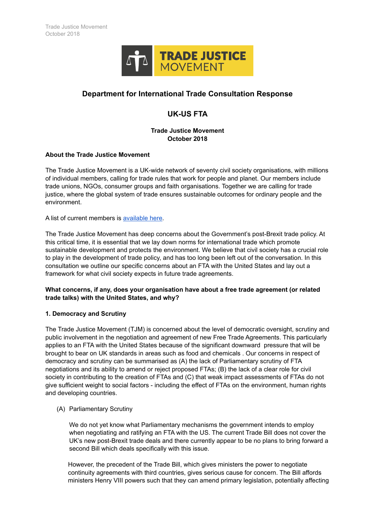

# **Department for International Trade Consultation Response**

# **UK-US FTA**

# **Trade Justice Movement October 2018**

#### **About the Trade Justice Movement**

The Trade Justice Movement is a UK-wide network of seventy civil society organisations, with millions of individual members, calling for trade rules that work for people and planet. Our members include trade unions, NGOs, consumer groups and faith organisations. Together we are calling for trade justice, where the global system of trade ensures sustainable outcomes for ordinary people and the environment.

A list of current members is [available here.](https://www.tjm.org.uk/our-members)

The Trade Justice Movement has deep concerns about the Government's post-Brexit trade policy. At this critical time, it is essential that we lay down norms for international trade which promote sustainable development and protects the environment. We believe that civil society has a crucial role to play in the development of trade policy, and has too long been left out of the conversation. In this consultation we outline our specific concerns about an FTA with the United States and lay out a framework for what civil society expects in future trade agreements.

#### **What concerns, if any, does your organisation have about a free trade agreement (or related trade talks) with the United States, and why?**

# **1. Democracy and Scrutiny**

The Trade Justice Movement (TJM) is concerned about the level of democratic oversight, scrutiny and public involvement in the negotiation and agreement of new Free Trade Agreements. This particularly applies to an FTA with the United States because of the significant downward pressure that will be brought to bear on UK standards in areas such as food and chemicals . Our concerns in respect of democracy and scrutiny can be summarised as (A) the lack of Parliamentary scrutiny of FTA negotiations and its ability to amend or reject proposed FTAs; (B) the lack of a clear role for civil society in contributing to the creation of FTAs and (C) that weak impact assessments of FTAs do not give sufficient weight to social factors - including the effect of FTAs on the environment, human rights and developing countries.

#### (A) Parliamentary Scrutiny

We do not yet know what Parliamentary mechanisms the government intends to employ when negotiating and ratifying an FTA with the US. The current Trade Bill does not cover the UK's new post-Brexit trade deals and there currently appear to be no plans to bring forward a second Bill which deals specifically with this issue.

However, the precedent of the Trade Bill, which gives ministers the power to negotiate continuity agreements with third countries, gives serious cause for concern. The Bill affords ministers Henry VIII powers such that they can amend primary legislation, potentially affecting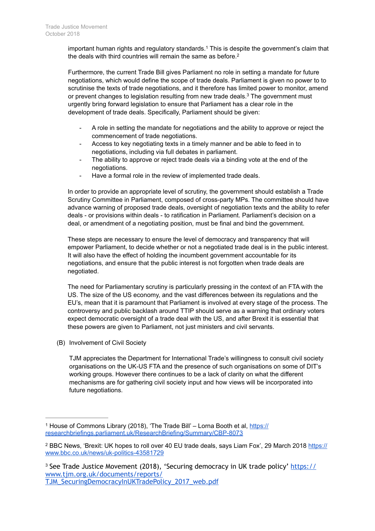important human rights and regulatory standards.<sup>1</sup> This is despite the government's claim that the deals with third countries will remain the same as before.<sup>2</sup>

Furthermore, the current Trade Bill gives Parliament no role in setting a mandate for future negotiations, which would define the scope of trade deals. Parliament is given no power to to scrutinise the texts of trade negotiations, and it therefore has limited power to monitor, amend or prevent changes to legislation resulting from new trade deals.<sup>3</sup> The government must urgently bring forward legislation to ensure that Parliament has a clear role in the development of trade deals. Specifically, Parliament should be given:

- A role in setting the mandate for negotiations and the ability to approve or reject the commencement of trade negotiations.
- Access to key negotiating texts in a timely manner and be able to feed in to negotiations, including via full debates in parliament.
- The ability to approve or reject trade deals via a binding vote at the end of the negotiations.
- Have a formal role in the review of implemented trade deals.

In order to provide an appropriate level of scrutiny, the government should establish a Trade Scrutiny Committee in Parliament, composed of cross-party MPs. The committee should have advance warning of proposed trade deals, oversight of negotiation texts and the ability to refer deals - or provisions within deals - to ratification in Parliament. Parliament's decision on a deal, or amendment of a negotiating position, must be final and bind the government.

These steps are necessary to ensure the level of democracy and transparency that will empower Parliament, to decide whether or not a negotiated trade deal is in the public interest. It will also have the effect of holding the incumbent government accountable for its negotiations, and ensure that the public interest is not forgotten when trade deals are negotiated.

The need for Parliamentary scrutiny is particularly pressing in the context of an FTA with the US. The size of the US economy, and the vast differences between its regulations and the EU's, mean that it is paramount that Parliament is involved at every stage of the process. The controversy and public backlash around TTIP should serve as a warning that ordinary voters expect democratic oversight of a trade deal with the US, and after Brexit it is essential that these powers are given to Parliament, not just ministers and civil servants.

(B) Involvement of Civil Society

TJM appreciates the Department for International Trade's willingness to consult civil society organisations on the UK-US FTA and the presence of such organisations on some of DIT's working groups. However there continues to be a lack of clarity on what the different mechanisms are for gathering civil society input and how views will be incorporated into future negotiations.

TJM\_SecuringDemocracyInUKTradePolicy\_2017\_web.pdf

<sup>&</sup>lt;sup>1</sup> [House of Commons Library \(2018\), 'The Trade Bill' – Lorna Booth et al, https://](https://researchbriefings.parliament.uk/ResearchBriefing/Summary/CBP-8073) researchbriefings.parliament.uk/ResearchBriefing/Summary/CBP-8073

<sup>&</sup>lt;sup>2</sup> [BBC News, 'Brexit: UK hopes to roll over 40 EU trade deals, says Liam Fox', 29 March 2018 https://](https://www.bbc.co.uk/news/uk-politics-43581729) www.bbc.co.uk/news/uk-politics-43581729

<sup>&</sup>lt;sup>3</sup> [See Trade Justice Movement \(2018\), 'Securing democracy in UK trade policy' https://](https://www.tjm.org.uk/documents/reports/TJM_SecuringDemocracyInUKTradePolicy_2017_web.pdf) www.tjm.org.uk/documents/reports/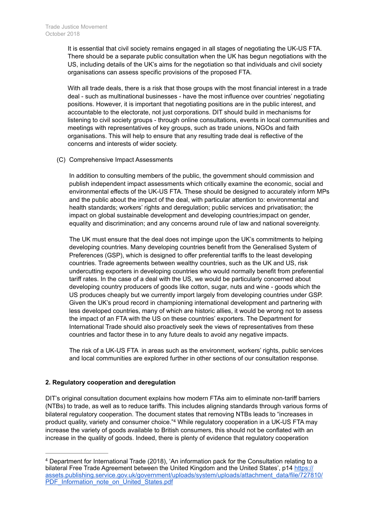It is essential that civil society remains engaged in all stages of negotiating the UK-US FTA. There should be a separate public consultation when the UK has begun negotiations with the US, including details of the UK's aims for the negotiation so that individuals and civil society organisations can assess specific provisions of the proposed FTA.

With all trade deals, there is a risk that those groups with the most financial interest in a trade deal - such as multinational businesses - have the most influence over countries' negotiating positions. However, it is important that negotiating positions are in the public interest, and accountable to the electorate, not just corporations. DIT should build in mechanisms for listening to civil society groups - through online consultations, events in local communities and meetings with representatives of key groups, such as trade unions, NGOs and faith organisations. This will help to ensure that any resulting trade deal is reflective of the concerns and interests of wider society.

(C) Comprehensive Impact Assessments

In addition to consulting members of the public, the government should commission and publish independent impact assessments which critically examine the economic, social and environmental effects of the UK-US FTA. These should be designed to accurately inform MPs and the public about the impact of the deal, with particular attention to: environmental and health standards; workers' rights and deregulation; public services and privatisation; the impact on global sustainable development and developing countries;impact on gender, equality and discrimination; and any concerns around rule of law and national sovereignty.

The UK must ensure that the deal does not impinge upon the UK's commitments to helping developing countries. Many developing countries benefit from the Generalised System of Preferences (GSP), which is designed to offer preferential tariffs to the least developing countries. Trade agreements between wealthy countries, such as the UK and US, risk undercutting exporters in developing countries who would normally benefit from preferential tariff rates. In the case of a deal with the US, we would be particularly concerned about developing country producers of goods like cotton, sugar, nuts and wine - goods which the US produces cheaply but we currently import largely from developing countries under GSP. Given the UK's proud record in championing international development and partnering with less developed countries, many of which are historic allies, it would be wrong not to assess the impact of an FTA with the US on these countries' exporters. The Department for International Trade should also proactively seek the views of representatives from these countries and factor these in to any future deals to avoid any negative impacts.

The risk of a UK-US FTA in areas such as the environment, workers' rights, public services and local communities are explored further in other sections of our consultation response.

# **2. Regulatory cooperation and deregulation**

DIT's original consultation document explains how modern FTAs aim to eliminate non-tariff barriers (NTBs) to trade, as well as to reduce tariffs. This includes aligning standards through various forms of bilateral regulatory cooperation. The document states that removing NTBs leads to "increases in product quality, variety and consumer choice."<sup>4</sup> While regulatory cooperation in a UK-US FTA may increase the variety of goods available to British consumers, this should not be conflated with an increase in the quality of goods. Indeed, there is plenty of evidence that regulatory cooperation

Department for International Trade (2018), 'An information pack for the Consultation relating to a 4 bilateral Free Trade Agreement between the United Kingdom and the United States', p14 https:// [assets.publishing.service.gov.uk/government/uploads/system/uploads/attachment\\_data/file/727810/](https://assets.publishing.service.gov.uk/government/uploads/system/uploads/attachment_data/file/727810/PDF_Information_note_on_United_States.pdf) PDF\_Information\_note\_on\_United\_States.pdf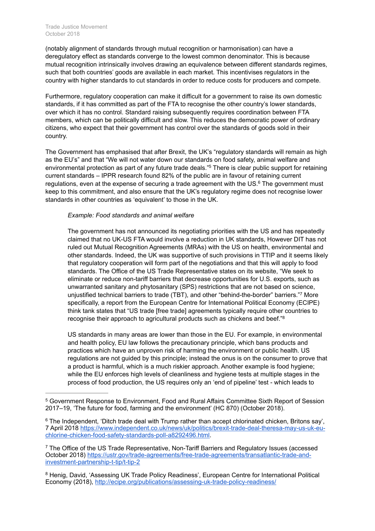(notably alignment of standards through mutual recognition or harmonisation) can have a deregulatory effect as standards converge to the lowest common denominator. This is because mutual recognition intrinsically involves drawing an equivalence between different standards regimes, such that both countries' goods are available in each market. This incentivises regulators in the country with higher standards to cut standards in order to reduce costs for producers and compete.

Furthermore, regulatory cooperation can make it difficult for a government to raise its own domestic standards, if it has committed as part of the FTA to recognise the other country's lower standards, over which it has no control. Standard raising subsequently requires coordination between FTA members, which can be politically difficult and slow. This reduces the democratic power of ordinary citizens, who expect that their government has control over the standards of goods sold in their country.

The Government has emphasised that after Brexit, the UK's "regulatory standards will remain as high as the EU's" and that "We will not water down our standards on food safety, animal welfare and environmental protection as part of any future trade deals."<sup>5</sup> There is clear public support for retaining current standards – IPPR research found 82% of the public are in favour of retaining current regulations, even at the expense of securing a trade agreement with the US. $<sup>6</sup>$  The government must</sup> keep to this commitment, and also ensure that the UK's regulatory regime does not recognise lower standards in other countries as 'equivalent' to those in the UK.

#### *Example: Food standards and animal welfare*

The government has not announced its negotiating priorities with the US and has repeatedly claimed that no UK-US FTA would involve a reduction in UK standards, However DIT has not ruled out Mutual Recognition Agreements (MRAs) with the US on health, environmental and other standards. Indeed, the UK was supportive of such provisions in TTIP and it seems likely that regulatory cooperation will form part of the negotiations and that this will apply to food standards. The Office of the US Trade Representative states on its website, "We seek to eliminate or reduce non-tariff barriers that decrease opportunities for U.S. exports, such as unwarranted sanitary and phytosanitary (SPS) restrictions that are not based on science, unjustified technical barriers to trade (TBT), and other "behind-the-border" barriers." More specifically, a report from the European Centre for International Political Economy (ECIPE) think tank states that "US trade [free trade] agreements typically require other countries to recognise their approach to agricultural products such as chickens and beef."8

US standards in many areas are lower than those in the EU. For example, in environmental and health policy, EU law follows the precautionary principle, which bans products and practices which have an unproven risk of harming the environment or public health. US regulations are not guided by this principle; instead the onus is on the consumer to prove that a product is harmful, which is a much riskier approach. Another example is food hygiene; while the EU enforces high levels of cleanliness and hygiene tests at multiple stages in the process of food production, the US requires only an 'end of pipeline' test - which leads to

Government Response to Environment, Food and Rural Affairs Committee Sixth Report of Session 5 2017–19, 'The future for food, farming and the environment' (HC 870) (October 2018).

<sup>&</sup>lt;sup>6</sup> The Independent, 'Ditch trade deal with Trump rather than accept chlorinated chicken, Britons say', [7 April 2018 https://www.independent.co.uk/news/uk/politics/brexit-trade-deal-theresa-may-us-uk-eu](https://www.independent.co.uk/news/uk/politics/brexit-trade-deal-theresa-may-us-uk-eu-chlorine-chicken-food-safety-standards-poll-a8292496.html)chlorine-chicken-food-safety-standards-poll-a8292496.html.

<sup>&</sup>lt;sup>7</sup> The Office of the US Trade Representative, Non-Tariff Barriers and Regulatory Issues (accessed [October 2018\) https://ustr.gov/trade-agreements/free-trade-agreements/transatlantic-trade-and](https://ustr.gov/trade-agreements/free-trade-agreements/transatlantic-trade-and-investment-partnership-t-tip/t-tip-2)investment-partnership-t-tip/t-tip-2

<sup>&</sup>lt;sup>8</sup> Henig, David, 'Assessing UK Trade Policy Readiness', European Centre for International Political Economy (2018), <http://ecipe.org/publications/assessing-uk-trade-policy-readiness/>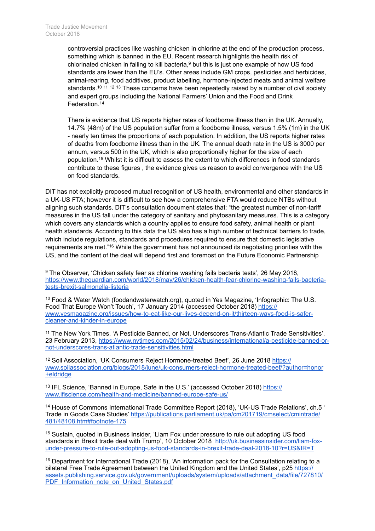controversial practices like washing chicken in chlorine at the end of the production process, something which is banned in the EU. Recent research highlights the health risk of chlorinated chicken in failing to kill bacteria, $9$  but this is just one example of how US food standards are lower than the EU's. Other areas include GM crops, pesticides and herbicides, animal-rearing, food additives, product labelling, hormone-injected meats and animal welfare standards.<sup>10 11 12 13</sup> These concerns have been repeatedly raised by a number of civil society and expert groups including the National Farmers' Union and the Food and Drink Federation.14

There is evidence that US reports higher rates of foodborne illness than in the UK. Annually, 14.7% (48m) of the US population suffer from a foodborne illness, versus 1.5% (1m) in the UK - nearly ten times the proportions of each population. In addition, the US reports higher rates of deaths from foodborne illness than in the UK. The annual death rate in the US is 3000 per annum, versus 500 in the UK, which is also proportionally higher for the size of each population.<sup>15</sup> Whilst it is difficult to assess the extent to which differences in food standards contribute to these figures , the evidence gives us reason to avoid convergence with the US on food standards.

DIT has not explicitly proposed mutual recognition of US health, environmental and other standards in a UK-US FTA; however it is difficult to see how a comprehensive FTA would reduce NTBs without aligning such standards. DIT's consultation document states that: "the greatest number of non-tariff measures in the US fall under the category of sanitary and phytosanitary measures. This is a category which covers any standards which a country applies to ensure food safety, animal health or plant health standards. According to this data the US also has a high number of technical barriers to trade, which include regulations, standards and procedures required to ensure that domestic legislative requirements are met."<sup>16</sup> While the government has not announced its negotiating priorities with the US, and the content of the deal will depend first and foremost on the Future Economic Partnership

<sup>10</sup> Food & Water Watch (foodandwaterwatch.org), quoted in Yes Magazine, 'Infographic: The U.S. Food That Europe Won't Touch', 17 January 2014 (accessed October 2018) https:// [www.yesmagazine.org/issues/how-to-eat-like-our-lives-depend-on-it/thirteen-ways-food-is-safer](https://www.yesmagazine.org/issues/how-to-eat-like-our-lives-depend-on-it/thirteen-ways-food-is-safer-cleaner-and-kinder-in-europe)cleaner-and-kinder-in-europe

<sup>11</sup> The New York Times, 'A Pesticide Banned, or Not, Underscores Trans-Atlantic Trade Sensitivities', [23 February 2013, https://www.nytimes.com/2015/02/24/business/international/a-pesticide-banned-or](https://www.nytimes.com/2015/02/24/business/international/a-pesticide-banned-or-not-underscores-trans-atlantic-trade-sensitivities.html)not-underscores-trans-atlantic-trade-sensitivities.html

<sup>12</sup> Soil Association, 'UK Consumers Reject Hormone-treated Beef', 26 June 2018 https:// [www.soilassociation.org/blogs/2018/june/uk-consumers-reject-hormone-treated-beef/?author=honor](https://www.soilassociation.org/blogs/2018/june/uk-consumers-reject-hormone-treated-beef/?author=honor+eldridge) +eldridge

<sup>13</sup> [IFL Science, 'Banned in Europe, Safe in the U.S.' \(accessed October 2018\) https://](https://www.iflscience.com/health-and-medicine/banned-europe-safe-us/) www.iflscience.com/health-and-medicine/banned-europe-safe-us/

<sup>14</sup> House of Commons International Trade Committee Report (2018), 'UK-US Trade Relations', ch.5 ' [Trade in Goods Case Studies' https://publications.parliament.uk/pa/cm201719/cmselect/cmintrade/](https://publications.parliament.uk/pa/cm201719/cmselect/cmintrade/481/48108.htm#footnote-175) 481/48108.htm#footnote-175

<sup>15</sup> Sustain, quoted in Business Insider, 'Liam Fox under pressure to rule out adopting US food [standards in Brexit trade deal with Trump', 10 October 2018 http://uk.businessinsider.com/liam-fox](http://uk.businessinsider.com/liam-fox-under-pressure-to-rule-out-adopting-us-food-standards-in-brexit-trade-deal-2018-10?r=US&IR=T)under-pressure-to-rule-out-adopting-us-food-standards-in-brexit-trade-deal-2018-10?r=US&IR=T

<sup>&</sup>lt;sup>9</sup> The Observer, 'Chicken safety fear as chlorine washing fails bacteria tests', 26 May 2018, [https://www.theguardian.com/world/2018/may/26/chicken-health-fear-chlorine-washing-fails-bacteria](https://www.theguardian.com/world/2018/may/26/chicken-health-fear-chlorine-washing-fails-bacteria-tests-brexit-salmonella-listeria)tests-brexit-salmonella-listeria

<sup>&</sup>lt;sup>16</sup> Department for International Trade (2018), 'An information pack for the Consultation relating to a bilateral Free Trade Agreement between the United Kingdom and the United States', p25 https:// [assets.publishing.service.gov.uk/government/uploads/system/uploads/attachment\\_data/file/727810/](https://assets.publishing.service.gov.uk/government/uploads/system/uploads/attachment_data/file/727810/PDF_Information_note_on_United_States.pdf) PDF\_Information\_note\_on\_United\_States.pdf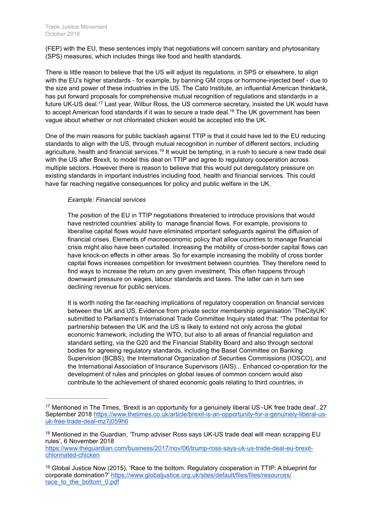(FEP) with the EU, these sentences imply that negotiations will concern sanitary and phytosanitary (SPS) measures, which includes things like food and health standards.

There is little reason to believe that the US will adjust its regulations, in SPS or elsewhere, to align with the EU's higher standards - for example, by banning GM crops or hormone-injected beef - due to the size and power of these industries in the US. The Cato Institute, an influential American thinktank, has put forward proposals for comprehensive mutual recognition of regulations and standards in a future UK-US deal.<sup>17</sup> Last year, Wilbur Ross, the US commerce secretary, insisted the UK would have to accept American food standards if it was to secure a trade deal.<sup>18</sup> The UK government has been vague about whether or not chlorinated chicken would be accepted into the UK.

One of the main reasons for public backlash against TTIP is that it could have led to the EU reducing standards to align with the US, through mutual recognition in number of different sectors, including agriculture, health and financial services.<sup>19</sup> It would be tempting, in a rush to secure a new trade deal with the US after Brexit, to model this deal on TTIP and agree to regulatory cooperation across multiple sectors. However there is reason to believe that this would put deregulatory pressure on existing standards in important industries including food, health and financial services. This could have far reaching negative consequences for policy and public welfare in the UK.

#### *Example: Financial services*

The position of the EU in TTIP negotiations threatened to introduce provisions that would have restricted countries' ability to manage financial flows. For example, provisions to liberalise capital flows would have eliminated important safeguards against the diffusion of financial crises. Elements of macroeconomic policy that allow countries to manage financial crisis might also have been curtailed. Increasing the mobility of cross-border capital flows can have knock-on effects in other areas. So for example increasing the mobility of cross border capital flows increases competition for investment between countries. They therefore need to find ways to increase the return on any given investment. This often happens through downward pressure on wages, labour standards and taxes. The latter can in turn see declining revenue for public services.

It is worth noting the far-reaching implications of regulatory cooperation on financial services between the UK and US. Evidence from private sector membership organisation 'TheCityUK' submitted to Parliament's International Trade Committee Inquiry stated that: "The potential for partnership between the UK and the US is likely to extend not only across the global economic framework, including the WTO, but also to all areas of financial regulation and standard setting, via the G20 and the Financial Stability Board and also through sectoral bodies for agreeing regulatory standards, including the Basel Committee on Banking Supervision (BCBS), the International Organization of Securities Commissions (IOSCO), and the International Association of Insurance Supervisors (IAIS)... Enhanced co-operation for the development of rules and principles on global issues of common concern would also contribute to the achievement of shared economic goals relating to third countries, in

[https://www.theguardian.com/business/2017/nov/06/trump-ross-says-uk-us-trade-deal-eu-brexit](https://www.theguardian.com/business/2017/nov/06/trump-ross-says-uk-us-trade-deal-eu-brexit-chlorinated-chicken)chlorinated-chicken

<sup>&</sup>lt;sup>17</sup> Mentioned in The Times, 'Brexit is an opportunity for a genuinely liberal US-UK free trade deal', 27 September 2018 https://www.thetimes.co.uk/article/brexit-is-an-opportunity-for-a-genuinely-liberal-usuk-free-trade-deal-mz7j059h6

<sup>&</sup>lt;sup>18</sup> Mentioned in the Guardian, 'Trump adviser Ross says UK-US trade deal will mean scrapping EU rules', 6 November 2018

<sup>&</sup>lt;sup>19</sup> Global Justice Now (2015), 'Race to the bottom. Regulatory cooperation in TTIP: A blueprint for [corporate domination?' https://www.globaljustice.org.uk/sites/default/files/files/resources/](https://www.globaljustice.org.uk/sites/default/files/files/resources/race_to_the_bottom_0.pdf) race\_to\_the\_bottom\_0.pdf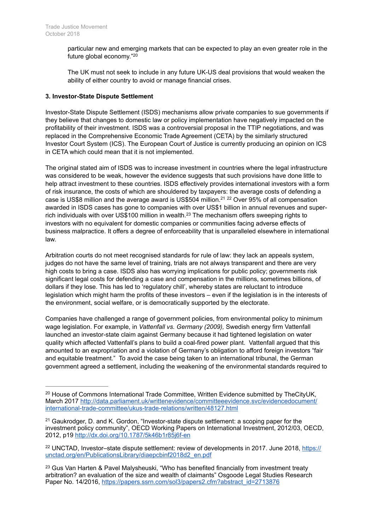particular new and emerging markets that can be expected to play an even greater role in the future global economy."20

The UK must not seek to include in any future UK-US deal provisions that would weaken the ability of either country to avoid or manage financial crises.

#### **3. Investor-State Dispute Settlement**

Investor-State Dispute Settlement (ISDS) mechanisms allow private companies to sue governments if they believe that changes to domestic law or policy implementation have negatively impacted on the profitability of their investment. ISDS was a controversial proposal in the TTIP negotiations, and was replaced in the Comprehensive Economic Trade Agreement (CETA) by the similarly structured Investor Court System (ICS). The European Court of Justice is currently producing an opinion on ICS in CETA which could mean that it is not implemented.

The original stated aim of ISDS was to increase investment in countries where the legal infrastructure was considered to be weak, however the evidence suggests that such provisions have done little to help attract investment to these countries. ISDS effectively provides international investors with a form of risk insurance, the costs of which are shouldered by taxpayers: the average costs of defending a case is US\$8 million and the average award is US\$504 million.<sup>21 22</sup> Over 95% of all compensation awarded in ISDS cases has gone to companies with over US\$1 billion in annual revenues and superrich individuals with over US\$100 million in wealth. $^{23}$  The mechanism offers sweeping rights to investors with no equivalent for domestic companies or communities facing adverse effects of business malpractice. It offers a degree of enforceability that is unparalleled elsewhere in international law.

Arbitration courts do not meet recognised standards for rule of law: they lack an appeals system, judges do not have the same level of training, trials are not always transparent and there are very high costs to bring a case. ISDS also has worrying implications for public policy; governments risk significant legal costs for defending a case and compensation in the millions, sometimes billions, of dollars if they lose. This has led to 'regulatory chill', whereby states are reluctant to introduce legislation which might harm the profits of these investors – even if the legislation is in the interests of the environment, social welfare, or is democratically supported by the electorate.

Companies have challenged a range of government policies, from environmental policy to minimum wage legislation. For example, in *Vattenfall vs. Germany (2009),* Swedish energy firm Vattenfall launched an investor-state claim against Germany because it had tightened legislation on water quality which affected Vattenfall's plans to build a coal-fired power plant. Vattenfall argued that this amounted to an expropriation and a violation of Germany's obligation to afford foreign investors "fair and equitable treatment." To avoid the case being taken to an international tribunal, the German government agreed a settlement, including the weakening of the environmental standards required to

<sup>&</sup>lt;sup>20</sup> House of Commons International Trade Committee, Written Evidence submitted by TheCityUK, [March 2017 http://data.parliament.uk/writtenevidence/committeeevidence.svc/evidencedocument/](http://data.parliament.uk/writtenevidence/committeeevidence.svc/evidencedocument/international-trade-committee/ukus-trade-relations/written/48127.html) international-trade-committee/ukus-trade-relations/written/48127.html

<sup>&</sup>lt;sup>21</sup> Gaukrodger, D. and K. Gordon, "Investor-state dispute settlement: a scoping paper for the investment policy community", OECD Working Papers on International Investment, 2012/03, OECD, 2012, p19<http://dx.doi.org/10.1787/5k46b1r85j6f-en>

<sup>&</sup>lt;sup>22</sup> [UNCTAD, Investor–state dispute settlement: review of developments in 2017. June 2018, https://](https://unctad.org/en/PublicationsLibrary/diaepcbinf2018d2_en.pdf) unctad.org/en/PublicationsLibrary/diaepcbinf2018d2\_en.pdf

<sup>&</sup>lt;sup>23</sup> Gus Van Harten & Pavel Malysheuski, "Who has benefited financially from investment treaty arbitration? an evaluation of the size and wealth of claimants" Osgoode Legal Studies Research Paper No. 14/2016, [https://papers.ssrn.com/sol3/papers2.cfm?abstract\\_id=2713876](https://papers.ssrn.com/sol3/papers2.cfm?abstract_id=2713876)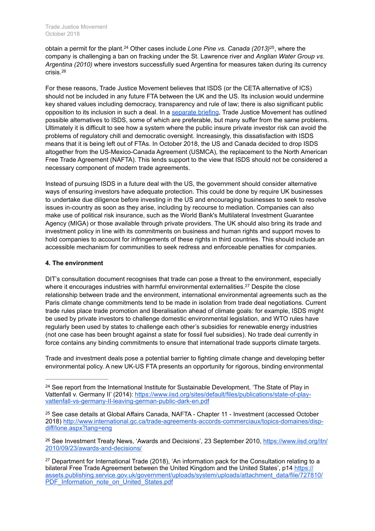obtain a permit for the plant.<sup>24</sup> Other cases include *Lone Pine vs. Canada (2013)*<sup>25</sup>, where the company is challenging a ban on fracking under the St. Lawrence river and *Anglian Water Group vs. Argentina (2010)* where investors successfully sued Argentina for measures taken during its currency crisis.26

For these reasons, Trade Justice Movement believes that ISDS (or the CETA alternative of ICS) should not be included in any future FTA between the UK and the US. Its inclusion would undermine key shared values including democracy, transparency and rule of law; there is also significant public opposition to its inclusion in such a deal. In a [separate briefing](https://www.tjm.org.uk/documents/briefings/Stepping-away-from-ISDS.pdf), Trade Justice Movement has outlined possible alternatives to ISDS, some of which are preferable, but many suffer from the same problems. Ultimately it is difficult to see how a system where the public insure private investor risk can avoid the problems of regulatory chill and democratic oversight. Increasingly, this dissatisfaction with ISDS means that it is being left out of FTAs. In October 2018, the US and Canada decided to drop ISDS altogether from the US-Mexico-Canada Agreement (USMCA), the replacement to the North American Free Trade Agreement (NAFTA). This lends support to the view that ISDS should not be considered a necessary component of modern trade agreements.

Instead of pursuing ISDS in a future deal with the US, the government should consider alternative ways of ensuring investors have adequate protection. This could be done by require UK businesses to undertake due diligence before investing in the US and encouraging businesses to seek to resolve issues in-country as soon as they arise, including by recourse to mediation. Companies can also make use of political risk insurance, such as the World Bank's Multilateral Investment Guarantee Agency (MIGA) or those available through private providers. The UK should also bring its trade and investment policy in line with its commitments on business and human rights and support moves to hold companies to account for infringements of these rights in third countries. This should include an accessible mechanism for communities to seek redress and enforceable penalties for companies.

#### **4. The environment**

DIT's consultation document recognises that trade can pose a threat to the environment, especially where it encourages industries with harmful environmental externalities.<sup>27</sup> Despite the close relationship between trade and the environment, international environmental agreements such as the Paris climate change commitments tend to be made in isolation from trade deal negotiations. Current trade rules place trade promotion and liberalisation ahead of climate goals: for example, ISDS might be used by private investors to challenge domestic environmental legislation, and WTO rules have regularly been used by states to challenge each other's subsidies for renewable energy industries (not one case has been brought against a state for fossil fuel subsidies). No trade deal currently in force contains any binding commitments to ensure that international trade supports climate targets.

Trade and investment deals pose a potential barrier to fighting climate change and developing better environmental policy. A new UK-US FTA presents an opportunity for rigorous, binding environmental

 $24$  See report from the International Institute for Sustainable Development, 'The State of Play in [Vattenfall v. Germany II' \(2014\): https://www.iisd.org/sites/default/files/publications/state-of-play](https://www.iisd.org/sites/default/files/publications/state-of-play-vattenfall-vs-germany-II-leaving-german-public-dark-en.pdf)vattenfall-vs-germany-II-leaving-german-public-dark-en.pdf

<sup>&</sup>lt;sup>25</sup> See case details at Global Affairs Canada, NAFTA - Chapter 11 - Investment (accessed October [2018\) http://www.international.gc.ca/trade-agreements-accords-commerciaux/topics-domaines/disp](http://www.international.gc.ca/trade-agreements-accords-commerciaux/topics-domaines/disp-diff/lone.aspx?lang=eng)diff/lone.aspx?lang=eng

<sup>&</sup>lt;sup>26</sup> [See Investment Treaty News, 'Awards and Decisions', 23 September 2010, https://www.iisd.org/itn/](https://www.iisd.org/itn/2010/09/23/awards-and-decisions/) 2010/09/23/awards-and-decisions/

<sup>&</sup>lt;sup>27</sup> Department for International Trade (2018), 'An information pack for the Consultation relating to a bilateral Free Trade Agreement between the United Kingdom and the United States', p14 https:// [assets.publishing.service.gov.uk/government/uploads/system/uploads/attachment\\_data/file/727810/](https://assets.publishing.service.gov.uk/government/uploads/system/uploads/attachment_data/file/727810/PDF_Information_note_on_United_States.pdf) PDF\_Information\_note\_on\_United\_States.pdf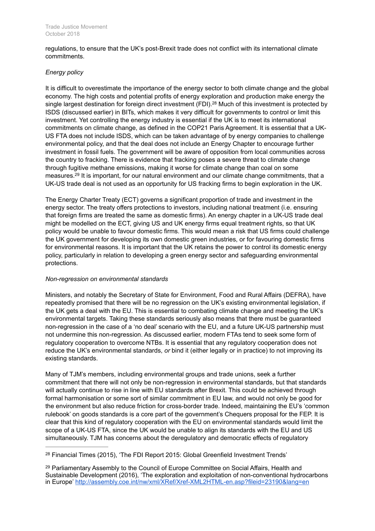regulations, to ensure that the UK's post-Brexit trade does not conflict with its international climate commitments.

# *Energy policy*

It is difficult to overestimate the importance of the energy sector to both climate change and the global economy. The high costs and potential profits of energy exploration and production make energy the single largest destination for foreign direct investment (FDI).<sup>28</sup> Much of this investment is protected by ISDS (discussed earlier) in BITs, which makes it very difficult for governments to control or limit this investment. Yet controlling the energy industry is essential if the UK is to meet its international commitments on climate change, as defined in the COP21 Paris Agreement. It is essential that a UK-US FTA does not include ISDS, which can be taken advantage of by energy companies to challenge environmental policy, and that the deal does not include an Energy Chapter to encourage further investment in fossil fuels. The government will be aware of opposition from local communities across the country to fracking. There is evidence that fracking poses a severe threat to climate change through fugitive methane emissions, making it worse for climate change than coal on some measures.<sup>29</sup> It is important, for our natural environment and our climate change commitments, that a UK-US trade deal is not used as an opportunity for US fracking firms to begin exploration in the UK.

The Energy Charter Treaty (ECT) governs a significant proportion of trade and investment in the energy sector. The treaty offers protections to investors, including national treatment (i.e. ensuring that foreign firms are treated the same as domestic firms). An energy chapter in a UK-US trade deal might be modelled on the ECT, giving US and UK energy firms equal treatment rights, so that UK policy would be unable to favour domestic firms. This would mean a risk that US firms could challenge the UK government for developing its own domestic green industries, or for favouring domestic firms for environmental reasons. It is important that the UK retains the power to control its domestic energy policy, particularly in relation to developing a green energy sector and safeguarding environmental protections.

# *Non-regression on environmental standards*

Ministers, and notably the Secretary of State for Environment, Food and Rural Affairs (DEFRA), have repeatedly promised that there will be no regression on the UK's existing environmental legislation, if the UK gets a deal with the EU. This is essential to combating climate change and meeting the UK's environmental targets. Taking these standards seriously also means that there must be guaranteed non-regression in the case of a 'no deal' scenario with the EU, and a future UK-US partnership must not undermine this non-regression. As discussed earlier, modern FTAs tend to seek some form of regulatory cooperation to overcome NTBs. It is essential that any regulatory cooperation does not reduce the UK's environmental standards, *or* bind it (either legally or in practice) to not improving its existing standards.

Many of TJM's members, including environmental groups and trade unions, seek a further commitment that there will not only be non-regression in environmental standards, but that standards will actually continue to rise in line with EU standards after Brexit. This could be achieved through formal harmonisation or some sort of similar commitment in EU law, and would not only be good for the environment but also reduce friction for cross-border trade. Indeed, maintaining the EU's 'common rulebook' on goods standards is a core part of the government's Chequers proposal for the FEP. It is clear that this kind of regulatory cooperation with the EU on environmental standards would limit the scope of a UK-US FTA, since the UK would be unable to align its standards with the EU and US simultaneously. TJM has concerns about the deregulatory and democratic effects of regulatory

<sup>&</sup>lt;sup>28</sup> Financial Times (2015), 'The FDI Report 2015: Global Greenfield Investment Trends'

<sup>&</sup>lt;sup>29</sup> Parliamentary Assembly to the Council of Europe Committee on Social Affairs, Health and Sustainable Development (2016), 'The exploration and exploitation of non-conventional hydrocarbons in Europe'<http://assembly.coe.int/nw/xml/XRef/Xref-XML2HTML-en.asp?fileid=23190&lang=en>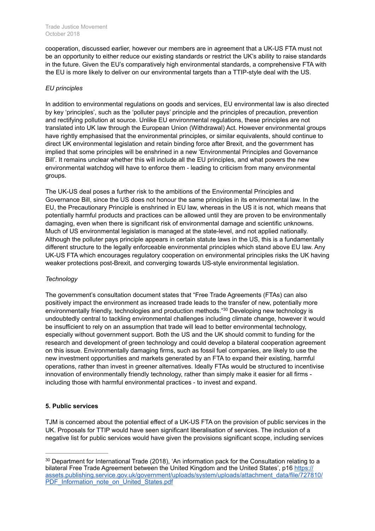cooperation, discussed earlier, however our members are in agreement that a UK-US FTA must not be an opportunity to either reduce our existing standards or restrict the UK's ability to raise standards in the future. Given the EU's comparatively high environmental standards, a comprehensive FTA with the EU is more likely to deliver on our environmental targets than a TTIP-style deal with the US.

#### *EU principles*

In addition to environmental regulations on goods and services, EU environmental law is also directed by key 'principles', such as the 'polluter pays' principle and the principles of precaution, prevention and rectifying pollution at source. Unlike EU environmental regulations, these principles are not translated into UK law through the European Union (Withdrawal) Act. However environmental groups have rightly emphasised that the environmental principles, or similar equivalents, should continue to direct UK environmental legislation and retain binding force after Brexit, and the government has implied that some principles will be enshrined in a new 'Environmental Principles and Governance Bill'. It remains unclear whether this will include all the EU principles, and what powers the new environmental watchdog will have to enforce them - leading to criticism from many environmental groups.

The UK-US deal poses a further risk to the ambitions of the Environmental Principles and Governance Bill, since the US does not honour the same principles in its environmental law. In the EU, the Precautionary Principle is enshrined in EU law, whereas in the US it is not, which means that potentially harmful products and practices can be allowed until they are proven to be environmentally damaging, even when there is significant risk of environmental damage and scientific unknowns. Much of US environmental legislation is managed at the state-level, and not applied nationally. Although the polluter pays principle appears in certain statute laws in the US, this is a fundamentally different structure to the legally enforceable environmental principles which stand above EU law. Any UK-US FTA which encourages regulatory cooperation on environmental principles risks the UK having weaker protections post-Brexit, and converging towards US-style environmental legislation.

# *Technology*

The government's consultation document states that "Free Trade Agreements (FTAs) can also positively impact the environment as increased trade leads to the transfer of new, potentially more environmentally friendly, technologies and production methods."<sup>30</sup> Developing new technology is undoubtedly central to tackling environmental challenges including climate change, however it would be insufficient to rely on an assumption that trade will lead to better environmental technology, especially without government support. Both the US and the UK should commit to funding for the research and development of green technology and could develop a bilateral cooperation agreement on this issue. Environmentally damaging firms, such as fossil fuel companies, are likely to use the new investment opportunities and markets generated by an FTA to expand their existing, harmful operations, rather than invest in greener alternatives. Ideally FTAs would be structured to incentivise innovation of environmentally friendly technology, rather than simply make it easier for all firms including those with harmful environmental practices - to invest and expand.

# **5. Public services**

TJM is concerned about the potential effect of a UK-US FTA on the provision of public services in the UK. Proposals for TTIP would have seen significant liberalisation of services. The inclusion of a negative list for public services would have given the provisions significant scope, including services

<sup>&</sup>lt;sup>30</sup> Department for International Trade (2018), 'An information pack for the Consultation relating to a bilateral Free Trade Agreement between the United Kingdom and the United States', p16 https:// [assets.publishing.service.gov.uk/government/uploads/system/uploads/attachment\\_data/file/727810/](https://assets.publishing.service.gov.uk/government/uploads/system/uploads/attachment_data/file/727810/PDF_Information_note_on_United_States.pdf) PDF\_Information\_note\_on\_United\_States.pdf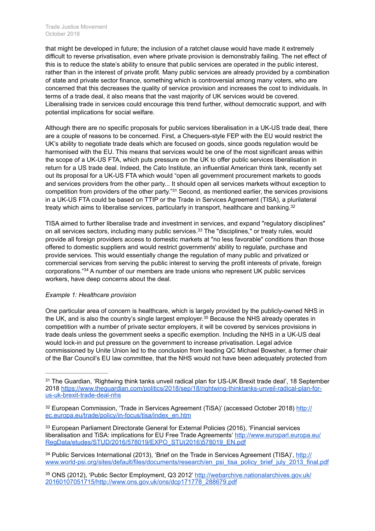#### Trade Justice Movement October 2018

that might be developed in future; the inclusion of a ratchet clause would have made it extremely difficult to reverse privatisation, even where private provision is demonstrably failing. The net effect of this is to reduce the state's ability to ensure that public services are operated in the public interest, rather than in the interest of private profit. Many public services are already provided by a combination of state and private sector finance, something which is controversial among many voters, who are concerned that this decreases the quality of service provision and increases the cost to individuals. In terms of a trade deal, it also means that the vast majority of UK services would be covered. Liberalising trade in services could encourage this trend further, without democratic support, and with potential implications for social welfare.

Although there are no specific proposals for public services liberalisation in a UK-US trade deal, there are a couple of reasons to be concerned. First, a Chequers-style FEP with the EU would restrict the UK's ability to negotiate trade deals which are focused on goods, since goods regulation would be harmonised with the EU. This means that services would be one of the most significant areas within the scope of a UK-US FTA, which puts pressure on the UK to offer public services liberalisation in return for a US trade deal. Indeed, the Cato Institute, an influential American think tank, recently set out its proposal for a UK-US FTA which would "open all government procurement markets to goods and services providers from the other party... It should open all services markets without exception to competition from providers of the other party."<sup>31</sup> Second, as mentioned earlier, the services provisions in a UK-US FTA could be based on TTIP or the Trade in Services Agreement (TISA), a plurilateral treaty which aims to liberalise services, particularly in transport, healthcare and banking.<sup>32</sup>

TISA aimed to further liberalise trade and investment in services, and expand "regulatory disciplines" on all services sectors, including many public services.<sup>33</sup> The "disciplines," or treaty rules, would provide all foreign providers access to domestic markets at "no less favorable" conditions than those offered to domestic suppliers and would restrict governments' ability to regulate, purchase and provide services. This would essentially change the regulation of many public and privatized or commercial services from serving the public interest to serving the profit interests of private, foreign corporations."<sup>34</sup> A number of our members are trade unions who represent UK public services workers, have deep concerns about the deal.

# *Example 1: Healthcare provision*

One particular area of concern is healthcare, which is largely provided by the publicly-owned NHS in the UK, and is also the country's single largest employer.<sup>35</sup> Because the NHS already operates in competition with a number of private sector employers, it will be covered by services provisions in trade deals unless the government seeks a specific exemption. Including the NHS in a UK-US deal would lock-in and put pressure on the government to increase privatisation. Legal advice commissioned by Unite Union led to the conclusion from leading QC Michael Bowsher, a former chair of the Bar Council's EU law committee, that the NHS would not have been adequately protected from

<sup>33</sup> European Parliament Directorate General for External Policies (2016), 'Financial services [liberalisation and TiSA: implications for EU Free Trade Agreements' http://www.europarl.europa.eu/](http://www.europarl.europa.eu/RegData/etudes/STUD/2016/578019/EXPO_STU(2016)578019_EN.pdf) RegData/etudes/STUD/2016/578019/EXPO\_STU(2016)578019\_EN.pdf

<sup>34</sup> Public Services International (2013), 'Brief on the Trade in Services Agreement (TISA)', http:// [www.world-psi.org/sites/default/files/documents/research/en\\_psi\\_tisa\\_policy\\_brief\\_july\\_2013\\_final.pdf](http://www.world-psi.org/sites/default/files/documents/research/en_psi_tisa_policy_brief_july_2013_final.pdf)

<sup>35</sup> [ONS \(2012\), 'Public Sector Employment, Q3 2012' http://webarchive.nationalarchives.gov.uk/](http://webarchive.nationalarchives.gov.uk/20160107051715/http://www.ons.gov.uk/ons/dcp171778_288679.pdf) 20160107051715/http://www.ons.gov.uk/ons/dcp171778\_288679.pdf

<sup>&</sup>lt;sup>31</sup> The Guardian, 'Rightwing think tanks unveil radical plan for US-UK Brexit trade deal', 18 September [2018 https://www.theguardian.com/politics/2018/sep/18/rightwing-thinktanks-unveil-radical-plan-for](https://www.theguardian.com/politics/2018/sep/18/rightwing-thinktanks-unveil-radical-plan-for-us-uk-brexit-trade-deal-nhs)us-uk-brexit-trade-deal-nhs

<sup>&</sup>lt;sup>32</sup> [European Commission, 'Trade in Services Agreement \(TiSA\)' \(accessed October 2018\) http://](http://ec.europa.eu/trade/policy/in-focus/tisa/index_en.htm) ec.europa.eu/trade/policy/in-focus/tisa/index\_en.htm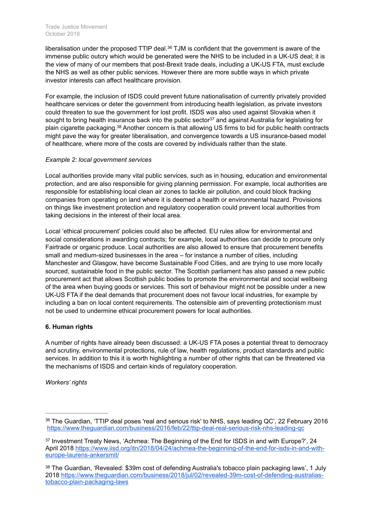liberalisation under the proposed TTIP deal. $36$  TJM is confident that the government is aware of the immense public outcry which would be generated were the NHS to be included in a UK-US deal; it is the view of many of our members that post-Brexit trade deals, including a UK-US FTA, must exclude the NHS as well as other public services. However there are more subtle ways in which private investor interests can affect healthcare provision.

For example, the inclusion of ISDS could prevent future nationalisation of currently privately provided healthcare services or deter the government from introducing health legislation, as private investors could threaten to sue the government for lost profit. ISDS was also used against Slovakia when it sought to bring health insurance back into the public sector<sup>37</sup> and against Australia for legislating for plain cigarette packaging.<sup>38</sup> Another concern is that allowing US firms to bid for public health contracts might pave the way for greater liberalisation, and convergence towards a US insurance-based model of healthcare, where more of the costs are covered by individuals rather than the state.

#### *Example 2: local government services*

Local authorities provide many vital public services, such as in housing, education and environmental protection, and are also responsible for giving planning permission. For example, local authorities are responsible for establishing local clean air zones to tackle air pollution, and could block fracking companies from operating on land where it is deemed a health or environmental hazard. Provisions on things like investment protection and regulatory cooperation could prevent local authorities from taking decisions in the interest of their local area.

Local 'ethical procurement' policies could also be affected. EU rules allow for environmental and social considerations in awarding contracts; for example, local authorities can decide to procure only Fairtrade or organic produce. Local authorities are also allowed to ensure that procurement benefits small and medium-sized businesses in the area – for instance a number of cities, including Manchester and Glasgow, have become Sustainable Food Cities, and are trying to use more locally sourced, sustainable food in the public sector. The Scottish parliament has also passed a new public procurement act that allows Scottish public bodies to promote the environmental and social wellbeing of the area when buying goods or services. This sort of behaviour might not be possible under a new UK-US FTA if the deal demands that procurement does not favour local industries, for example by including a ban on local content requirements. The ostensible aim of preventing protectionism must not be used to undermine ethical procurement powers for local authorities.

# **6. Human rights**

A number of rights have already been discussed: a UK-US FTA poses a potential threat to democracy and scrutiny, environmental protections, rule of law, health regulations, product standards and public services. In addition to this it is worth highlighting a number of other rights that can be threatened via the mechanisms of ISDS and certain kinds of regulatory cooperation.

*Workers' rights*

<sup>&</sup>lt;sup>36</sup> The Guardian, 'TTIP deal poses 'real and serious risk' to NHS, says leading QC', 22 February 2016 <https://www.theguardian.com/business/2016/feb/22/ttip-deal-real-serious-risk-nhs-leading-qc>

<sup>&</sup>lt;sup>37</sup> Investment Treaty News, 'Achmea: The Beginning of the End for ISDS in and with Europe?', 24 [April 2018 https://www.iisd.org/itn/2018/04/24/achmea-the-beginning-of-the-end-for-isds-in-and-with](https://www.iisd.org/itn/2018/04/24/achmea-the-beginning-of-the-end-for-isds-in-and-with-europe-laurens-ankersmit/)europe-laurens-ankersmit/

<sup>38</sup> The Guardian, 'Revealed: \$39m cost of defending Australia's tobacco plain packaging laws', 1 July [2018 https://www.theguardian.com/business/2018/jul/02/revealed-39m-cost-of-defending-australias](https://www.theguardian.com/business/2018/jul/02/revealed-39m-cost-of-defending-australias-tobacco-plain-packaging-laws)tobacco-plain-packaging-laws